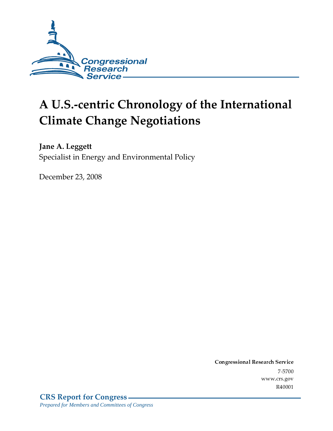

# **A U.S.-centric Chronology of the International Climate Change Negotiations**

**Jane A. Leggett** Specialist in Energy and Environmental Policy

December 23, 2008

Conglessional Research Service  $7 - 2700$ www.crs.gov R40001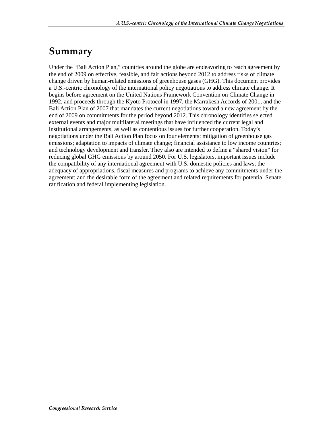# Summary

Under the "Bali Action Plan," countries around the globe are endeavoring to reach agreement by the end of 2009 on effective, feasible, and fair actions beyond 2012 to address risks of climate change driven by human-related emissions of greenhouse gases (GHG). This document provides a U.S.-centric chronology of the international policy negotiations to address climate change. It begins before agreement on the United Nations Framework Convention on Climate Change in 1992, and proceeds through the Kyoto Protocol in 1997, the Marrakesh Accords of 2001, and the Bali Action Plan of 2007 that mandates the current negotiations toward a new agreement by the end of 2009 on commitments for the period beyond 2012. This chronology identifies selected external events and major multilateral meetings that have influenced the current legal and institutional arrangements, as well as contentious issues for further cooperation. Today's negotiations under the Bali Action Plan focus on four elements: mitigation of greenhouse gas emissions; adaptation to impacts of climate change; financial assistance to low income countries; and technology development and transfer. They also are intended to define a "shared vision" for reducing global GHG emissions by around 2050. For U.S. legislators, important issues include the compatibility of any international agreement with U.S. domestic policies and laws; the adequacy of appropriations, fiscal measures and programs to achieve any commitments under the agreement; and the desirable form of the agreement and related requirements for potential Senate ratification and federal implementing legislation.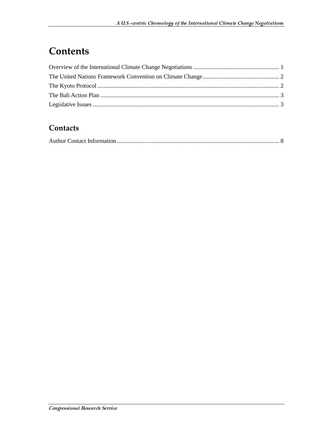# **Contents**

### Contacts

|--|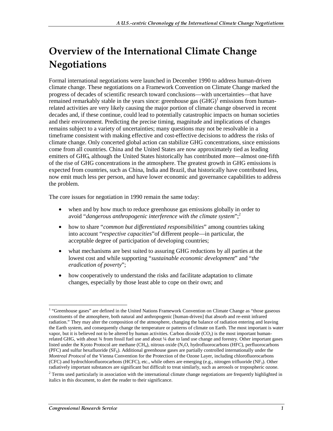# **Overview of the International Climate Change Negotiations**

Formal international negotiations were launched in December 1990 to address human-driven climate change. These negotiations on a Framework Convention on Climate Change marked the progress of decades of scientific research toward conclusions—with uncertainties—that have remained remarkably stable in the years since: greenhouse gas  $(GHG)^1$  emissions from humanrelated activities are very likely causing the major portion of climate change observed in recent decades and, if these continue, could lead to potentially catastrophic impacts on human societies and their environment. Predicting the precise timing, magnitude and implications of changes remains subject to a variety of uncertainties; many questions may not be resolvable in a timeframe consistent with making effective and cost-effective decisions to address the risks of climate change. Only concerted global action can stabilize GHG concentrations, since emissions come from all countries. China and the United States are now approximately tied as leading emitters of GHG, although the United States historically has contributed more—almost one-fifth of the rise of GHG concentrations in the atmosphere. The greatest growth in GHG emissions is expected from countries, such as China, India and Brazil, that historically have contributed less, now emit much less per person, and have lower economic and governance capabilities to address the problem.

The core issues for negotiation in 1990 remain the same today:

- when and by how much to reduce greenhouse gas emissions globally in order to avoid "*dangerous anthropogenic interference with the climate system*";2
- how to share "*common but differentiated responsibilities*" among countries taking into account "*respective capacities*"of different people—in particular, the acceptable degree of participation of developing countries;
- what mechanisms are best suited to assuring GHG reductions by all parties at the lowest cost and while supporting "*sustainable economic development*" and "*the eradication of poverty*";
- how cooperatively to understand the risks and facilitate adaptation to climate changes, especially by those least able to cope on their own; and

 $\overline{a}$ <sup>1</sup> "Greenhouse gases" are defined in the United Nations Framework Convention on Climate Change as "those gaseous constituents of the atmosphere, both natural and anthropogenic [human-driven] that absorb and re-emit infrared radiation." They may alter the composition of the atmosphere, changing the balance of radiation entering and leaving the Earth system, and consequently change the temperature or patterns of climate on Earth. The most important is water vapor, but it is believed not to be altered by human activities. Carbon dioxide  $(CO<sub>2</sub>)$  is the most important humanrelated GHG, with about 34 from fossil fuel use and about 1/4 due to land use change and forestry. Other important gases listed under the Kyoto Protocol are methane  $(CH_4)$ , nitrous oxide  $(N_2O,$  hydrofluorocarbons (HFC), perfluorocarbons (PFC) and sulfur hexafluoride  $(SF_6)$ . Additional greenhouse gases are partially controlled internationally under the *Montreal Protocol* of the Vienna Convention for the Protection of the Ozone Layer, including chlorofluorocarbons (CFC) and hydrochlorofluorocarbons (HCFC), etc., while others are emerging (e.g., nitrogen trifluoride (NF<sub>3</sub>). Other radiatively important substances are significant but difficult to treat similarly, such as aerosols or tropospheric ozone.

 $2$  Terms used particularly in association with the international climate change negotiations are frequently highlighted in italics in this document, to alert the reader to their significance.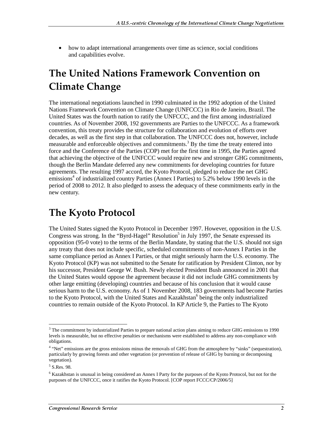• how to adapt international arrangements over time as science, social conditions and capabilities evolve.

# **The United Nations Framework Convention on Climate Change**

The international negotiations launched in 1990 culminated in the 1992 adoption of the United Nations Framework Convention on Climate Change (UNFCCC) in Rio de Janeiro, Brazil. The United States was the fourth nation to ratify the UNFCCC, and the first among industrialized countries. As of November 2008, 192 governments are Parties to the UNFCCC. As a framework convention, this treaty provides the structure for collaboration and evolution of efforts over decades, as well as the first step in that collaboration. The UNFCCC does not, however, include measurable and enforceable objectives and commitments.<sup>3</sup> By the time the treaty entered into force and the Conference of the Parties (COP) met for the first time in 1995, the Parties agreed that achieving the objective of the UNFCCC would require new and stronger GHG commitments, though the Berlin Mandate deferred any new commitments for developing countries for future agreements. The resulting 1997 accord, the Kyoto Protocol, pledged to reduce the net GHG emissions<sup>4</sup> of industrialized country Parties (Annex I Parties) to 5.2% below 1990 levels in the period of 2008 to 2012. It also pledged to assess the adequacy of these commitments early in the new century.

## **The Kyoto Protocol**

The United States signed the Kyoto Protocol in December 1997. However, opposition in the U.S. Congress was strong. In the "Byrd-Hagel" Resolution<sup>5</sup> in July 1997, the Senate expressed its opposition (95-0 vote) to the terms of the Berlin Mandate, by stating that the U.S. should not sign any treaty that does not include specific, scheduled commitments of non-Annex I Parties in the same compliance period as Annex I Parties, or that might seriously harm the U.S. economy. The Kyoto Protocol (KP) was not submitted to the Senate for ratification by President Clinton, nor by his successor, President George W. Bush. Newly elected President Bush announced in 2001 that the United States would oppose the agreement because it did not include GHG commitments by other large emitting (developing) countries and because of his conclusion that it would cause serious harm to the U.S. economy. As of 1 November 2008, 183 governments had become Parties to the Kyoto Protocol, with the United States and Kazakhstan<sup>6</sup> being the only industrialized countries to remain outside of the Kyoto Protocol. In KP Article 9, the Parties to The Kyoto

<sup>&</sup>lt;sup>3</sup> The commitment by industrialized Parties to prepare national action plans aiming to reduce GHG emissions to 1990 levels is measurable, but no effective penalties or mechanisms were established to address any non-compliance with obligations.

<sup>&</sup>lt;sup>4</sup> "Net" emissions are the gross emissions minus the removals of GHG from the atmosphere by "sinks" (sequestration), particularly by growing forests and other vegetation (or prevention of release of GHG by burning or decomposing vegetation).

<sup>5</sup> S.Res. 98.

<sup>&</sup>lt;sup>6</sup> Kazakhstan is unusual in being considered an Annex I Party for the purposes of the Kyoto Protocol, but not for the purposes of the UNFCCC, once it ratifies the Kyoto Protocol. [COP report FCCC/CP/2006/5]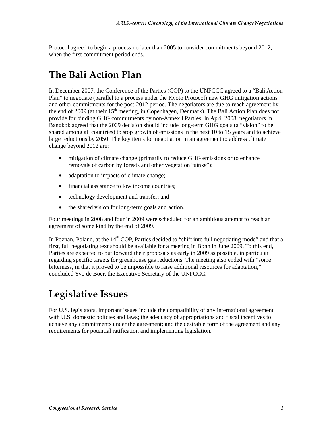Protocol agreed to begin a process no later than 2005 to consider commitments beyond 2012, when the first commitment period ends.

# The Bali Action Plan

In December 2007, the Conference of the Parties (COP) to the UNFCCC agreed to a "Bali Action Plan" to negotiate (parallel to a process under the Kyoto Protocol) new GHG mitigation actions and other commitments for the post-2012 period. The negotiators are due to reach agreement by the end of 2009 (at their  $15<sup>th</sup>$  meeting, in Copenhagen, Denmark). The Bali Action Plan does not provide for binding GHG commitments by non-Annex I Parties. In April 2008, negotiators in Bangkok agreed that the 2009 decision should include long-term GHG goals (a "vision" to be shared among all countries) to stop growth of emissions in the next 10 to 15 years and to achieve large reductions by 2050. The key items for negotiation in an agreement to address climate change beyond 2012 are:

- mitigation of climate change (primarily to reduce GHG emissions or to enhance removals of carbon by forests and other vegetation "sinks");
- adaptation to impacts of climate change;
- financial assistance to low income countries;
- technology development and transfer; and
- the shared vision for long-term goals and action.

Four meetings in 2008 and four in 2009 were scheduled for an ambitious attempt to reach an agreement of some kind by the end of 2009.

In Poznan, Poland, at the  $14<sup>th</sup>$  COP, Parties decided to "shift into full negotiating mode" and that a first, full negotiating text should be available for a meeting in Bonn in June 2009. To this end, Parties are expected to put forward their proposals as early in 2009 as possible, in particular regarding specific targets for greenhouse gas reductions. The meeting also ended with "some bitterness, in that it proved to be impossible to raise additional resources for adaptation," concluded Yvo de Boer, the Executive Secretary of the UNFCCC.

# Legislative Issues

For U.S. legislators, important issues include the compatibility of any international agreement with U.S. domestic policies and laws; the adequacy of appropriations and fiscal incentives to achieve any commitments under the agreement; and the desirable form of the agreement and any requirements for potential ratification and implementing legislation.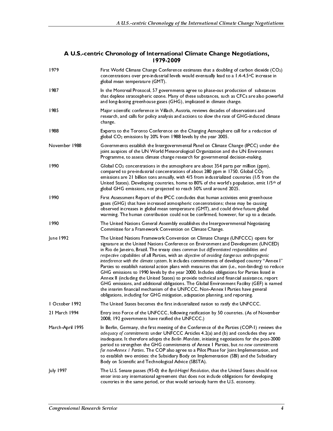| 1979                           | First World Climate Change Conference estimates that a doubling of carbon dioxide (CO2)<br>concentrations over pre-industrial levels would eventually lead to a 1.4-4.5°C increase in                                                                                                        |
|--------------------------------|----------------------------------------------------------------------------------------------------------------------------------------------------------------------------------------------------------------------------------------------------------------------------------------------|
| 1987                           | global mean temperature (GMT).<br>In the Montreal Protocol, 57 governments agree to phase-out production of substances                                                                                                                                                                       |
| 1985                           | that deplete stratospheric ozone. Many of these substances, such as CFCs are also powerful<br>and long-lasting greenhouse gases (GHG), implicated in climate change.<br>Major scientific conference in Villach, Austria, reviews decades of observations and                                 |
|                                | research, and calls for policy analysis and actions to slow the rate of GHG-induced climate<br>change.                                                                                                                                                                                       |
| 1988                           | Experts to the Toronto Conference on the Changing Atmosphere call for a reduction of<br>global CO <sub>2</sub> emissions by 20% from 1988 levels by the year 2005.                                                                                                                           |
| November 1988                  | Governments establish the Intergovernmental Panel on Climate Change (IPCC) under the<br>joint auspices of the UN World Meteorological Organization and the UN Environment<br>Programme, to assess climate change research for governmental decision-making.                                  |
| 1990                           | Global CO <sub>2</sub> concentrations in the atmosphere are about 354 parts per million (ppm),<br>compared to pre-industrial concentrations of about 280 ppm in 1750. Global CO <sub>2</sub>                                                                                                 |
|                                | emissions are 21 billion tons annually, with 4/5 from industrialized countries (1/5 from the<br>United States). Developing countries, home to 80% of the world's population, emit 1/5th of<br>global GHG emissions, not projected to reach 50% until around 2025.                            |
| 1990                           | First Assessment Report of the IPCC concludes that human activities emit greenhouse<br>gases (GHG) that have increased atmospheric concentrations; these may be causing                                                                                                                      |
|                                | observed increases in global mean temperature (GMT), and could drive future global<br>warming. The human contribution could not be confirmed, however, for up to a decade.                                                                                                                   |
| 1990                           | The United Nations General Assembly establishes the Intergovernmental Negotiating<br>Committee for a Framework Convention on Climate Change.                                                                                                                                                 |
| June 1992                      | The United Nations Framework Convention on Climate Change (UNFCCC) opens for<br>signature at the United Nations Conference on Environment and Development (UNCED)<br>in Rio de Janeiro, Brazil. The treaty cites common but differentiated responsibilities and                              |
|                                | respective capabilities of all Parties, with an objective of avoiding dangerous anthropogenic<br>interference with the climate system. It includes commitments of developed country "Annex I"                                                                                                |
|                                | Parties to establish national action plans with measures that aim (i.e., non-binding) to reduce<br>GHG emissions to 1990 levels by the year 2000. Includes obligations for Parties listed in<br>Annex II (including the United States) to provide technical and financial assistance, report |
|                                | GHG emissions, and additional obligations. The Global Environment Facility (GEF) is named<br>the interim financial mechanism of the UNFCCC. Non-Annex I Parties have general<br>obligations, including for GHG mitigation, adaptation planning, and reporting.                               |
| October 1992                   | The United States becomes the first industrialized nation to ratify the UNFCCC.                                                                                                                                                                                                              |
| 21 March 1994                  | Entry into Force of the UNFCCC, following ratification by 50 countries. (As of November<br>2008, 192 governments have ratified the UNFCCC.)                                                                                                                                                  |
| March-April 1995               | In Berlin, Germany, the first meeting of the Conference of the Parties (COP-1) reviews the<br>adequacy of commitments under UNFCCC Articles 4.2(a) and (b) and concludes they are<br>inadequate. It therefore adopts the Berlin Mandate, initiating negotiations for the post-2000           |
|                                | period to strengthen the GHG commitments of Annex   Parties, but no new commitments<br>for non-Annex I Parties. The COP also agree to a Pilot Phase for Joint Implementation, and<br>to establish two entities: the Subsidiary Body on Implementation (SBI) and the Subsidiary               |
| <b>July 1997</b>               | Body on Scientific and Technological Advice (SBSTA).<br>The U.S. Senate passes (95-0) the Byrd-Hagel Resolution, that the United States should not                                                                                                                                           |
|                                | enter into any international agreement that does not include obligations for developing<br>countries in the same period, or that would seriously harm the U.S. economy.                                                                                                                      |
|                                |                                                                                                                                                                                                                                                                                              |
| Congressional Research Service | 4                                                                                                                                                                                                                                                                                            |
|                                |                                                                                                                                                                                                                                                                                              |
|                                |                                                                                                                                                                                                                                                                                              |
|                                |                                                                                                                                                                                                                                                                                              |
|                                |                                                                                                                                                                                                                                                                                              |
|                                |                                                                                                                                                                                                                                                                                              |
|                                |                                                                                                                                                                                                                                                                                              |
|                                |                                                                                                                                                                                                                                                                                              |
|                                |                                                                                                                                                                                                                                                                                              |
|                                |                                                                                                                                                                                                                                                                                              |
|                                |                                                                                                                                                                                                                                                                                              |
|                                |                                                                                                                                                                                                                                                                                              |
|                                |                                                                                                                                                                                                                                                                                              |
|                                |                                                                                                                                                                                                                                                                                              |
|                                |                                                                                                                                                                                                                                                                                              |
|                                |                                                                                                                                                                                                                                                                                              |
|                                |                                                                                                                                                                                                                                                                                              |
|                                |                                                                                                                                                                                                                                                                                              |
|                                |                                                                                                                                                                                                                                                                                              |
|                                |                                                                                                                                                                                                                                                                                              |
|                                |                                                                                                                                                                                                                                                                                              |
|                                |                                                                                                                                                                                                                                                                                              |
|                                |                                                                                                                                                                                                                                                                                              |
|                                |                                                                                                                                                                                                                                                                                              |
|                                |                                                                                                                                                                                                                                                                                              |
|                                |                                                                                                                                                                                                                                                                                              |
|                                |                                                                                                                                                                                                                                                                                              |
|                                |                                                                                                                                                                                                                                                                                              |
|                                |                                                                                                                                                                                                                                                                                              |
|                                |                                                                                                                                                                                                                                                                                              |
|                                |                                                                                                                                                                                                                                                                                              |
|                                |                                                                                                                                                                                                                                                                                              |
|                                |                                                                                                                                                                                                                                                                                              |
|                                |                                                                                                                                                                                                                                                                                              |
|                                |                                                                                                                                                                                                                                                                                              |
|                                |                                                                                                                                                                                                                                                                                              |
|                                |                                                                                                                                                                                                                                                                                              |
|                                |                                                                                                                                                                                                                                                                                              |
|                                |                                                                                                                                                                                                                                                                                              |
|                                |                                                                                                                                                                                                                                                                                              |
|                                |                                                                                                                                                                                                                                                                                              |
|                                |                                                                                                                                                                                                                                                                                              |
|                                |                                                                                                                                                                                                                                                                                              |
|                                |                                                                                                                                                                                                                                                                                              |
|                                |                                                                                                                                                                                                                                                                                              |
|                                |                                                                                                                                                                                                                                                                                              |
|                                |                                                                                                                                                                                                                                                                                              |
|                                |                                                                                                                                                                                                                                                                                              |
|                                |                                                                                                                                                                                                                                                                                              |
|                                |                                                                                                                                                                                                                                                                                              |
|                                |                                                                                                                                                                                                                                                                                              |
|                                |                                                                                                                                                                                                                                                                                              |
|                                |                                                                                                                                                                                                                                                                                              |
|                                |                                                                                                                                                                                                                                                                                              |
|                                |                                                                                                                                                                                                                                                                                              |
|                                |                                                                                                                                                                                                                                                                                              |
|                                |                                                                                                                                                                                                                                                                                              |
|                                |                                                                                                                                                                                                                                                                                              |
|                                |                                                                                                                                                                                                                                                                                              |
|                                |                                                                                                                                                                                                                                                                                              |
|                                |                                                                                                                                                                                                                                                                                              |
|                                |                                                                                                                                                                                                                                                                                              |
|                                |                                                                                                                                                                                                                                                                                              |
|                                |                                                                                                                                                                                                                                                                                              |
|                                |                                                                                                                                                                                                                                                                                              |
|                                |                                                                                                                                                                                                                                                                                              |
|                                |                                                                                                                                                                                                                                                                                              |
|                                |                                                                                                                                                                                                                                                                                              |
|                                |                                                                                                                                                                                                                                                                                              |
|                                |                                                                                                                                                                                                                                                                                              |
|                                |                                                                                                                                                                                                                                                                                              |
|                                |                                                                                                                                                                                                                                                                                              |
|                                |                                                                                                                                                                                                                                                                                              |
|                                |                                                                                                                                                                                                                                                                                              |
|                                |                                                                                                                                                                                                                                                                                              |

#### A U.S.-centric Chronology of International Climate Change Negotiations, 1979-2009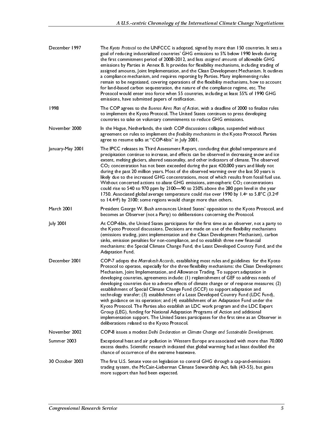| December 1997<br>1998                                               | The Kyoto Protocol to the UNFCCC is adopted, signed by more than 150 countries. It sets a<br>goal of reducing industrialized countries' GHG emissions to 5% below 1990 levels during<br>the first commitment period of 2008-2012, and lists assigned amounts of allowable GHG<br>emissions by Parties in Annex B. It provides for flexibility mechanisms, including trading of<br>assigned amounts, Joint Implementation, and the Clean Development Mechanism. It outlines<br>a compliance mechanism, and requires reporting by Parties. Many implementing rules<br>remain to be negotiated, covering operations of the flexibility mechanisms, how to account<br>for land-based carbon sequestration, the nature of the compliance regime, etc. The<br>Protocol would enter into force when 55 countries, including at least 55% of 1990 GHG<br>emissions, have submitted papers of ratification.<br>The COP agrees to the Buenos Aires Plan of Action, with a deadline of 2000 to finalize rules<br>to implement the Kyoto Protocol. The United States continues to press developing<br>countries to take on voluntary commitments to reduce GHG emissions.                                                                                                                                                                                                                                                                                                                                                                                                                                                                                                                                                                                                                                                                           | A U.S.-centric Chronology of the International Climate Change Negotiations |            |
|---------------------------------------------------------------------|-----------------------------------------------------------------------------------------------------------------------------------------------------------------------------------------------------------------------------------------------------------------------------------------------------------------------------------------------------------------------------------------------------------------------------------------------------------------------------------------------------------------------------------------------------------------------------------------------------------------------------------------------------------------------------------------------------------------------------------------------------------------------------------------------------------------------------------------------------------------------------------------------------------------------------------------------------------------------------------------------------------------------------------------------------------------------------------------------------------------------------------------------------------------------------------------------------------------------------------------------------------------------------------------------------------------------------------------------------------------------------------------------------------------------------------------------------------------------------------------------------------------------------------------------------------------------------------------------------------------------------------------------------------------------------------------------------------------------------------------------------------------------------------------------------------------------------------------|----------------------------------------------------------------------------|------------|
| November 2000<br>January-May 2001<br>March 2001<br><b>July 2001</b> | In the Hague, Netherlands, the sixth COP discussions collapse, suspended without<br>agreement on rules to implement the flexibility mechanisms in the Kyoto Protocol. Parties<br>agree to resume talks at "COP-6bis" in July 2001.<br>The IPCC releases its Third Assessment Report, concluding that global temperature and<br>precipitation continue to increase, and effects can be observed in decreasing snow and ice<br>extent, melting glaciers, altered seasonality, and other indicators of climate. The observed<br>$CO2$ concentration has not been exceeded during the past 420,000 years and likely not<br>during the past 20 million years. Most of the observed warming over the last 50 years is<br>likely due to the increased GHG concentrations, most of which results from fossil fuel use.<br>Without concerted actions to abate GHG emissions, atmospheric CO <sub>2</sub> concentrations<br>could rise to 540 to 970 ppm by 2100-90 to 250% above the 280 ppm level in the year<br>1750. Associated global average temperature could rise over 1990 by 1.4° to 5.8°C (3.2°F<br>to 14.4°F) by 2100; some regions would change more than others.<br>President George W. Bush announces United States' opposition to the Kyoto Protocol, and<br>becomes an Observer (not a Party) to deliberations concerning the Protocol.<br>At COP-6bis, the United States participates for the first time as an observer, not a party to<br>the Kyoto Protocol discussions. Decisions are made on use of the flexibility mechanisms<br>(emissions trading, joint implementation and the Clean Development Mechanism), carbon<br>sinks, emission penalties for non-compliance, and to establish three new financial<br>mechanisms: the Special Climate Change Fund, the Least Developed Country Fund, and the<br>Adaptation Fund. |                                                                            |            |
| December 2001<br>November 2002<br>Summer 2003<br>30 October 2003    | COP-7 adopts the Marrakesh Accords, establishing most rules and guidelines for the Kyoto<br>Protocol to operate, especially for the three flexibility mechanisms: the Clean Development<br>Mechanism, Joint Implementation, and Allowance Trading. To support adaptation in<br>developing countries, agreements include: (1) replenishment of GEF to address needs of<br>developing countries due to adverse effects of climate change or of response measures; (2)<br>establishment of Special Climate Change Fund (SCCF) to support adaptation and<br>technology transfer; (3) establishment of a Least Developed Country Fund (LDC Fund),<br>with guidance on its operation; and (4) establishment of an Adaptation Fund under the<br>Kyoto Protocol. The Parties also establish an LDC work program and the LDC Expert<br>Group (LEG), funding for National Adaptation Programs of Action and additional<br>implementation support. The United States participates for the first time as an Observer in<br>deliberations related to the Kyoto Protocol.<br>COP-8 issues a modest Delhi Declaration on Climate Change and Sustainable Development.<br>Exceptional heat and air pollution in Western Europe are associated with more than 70,000<br>excess deaths. Scientific research indicated that global warming had at least doubled the<br>chance of occurrence of the extreme heatwave.<br>The first U.S. Senate vote on legislation to control GHG through a cap-and-emissions<br>trading system, the McCain-Lieberman Climate Stewardship Act, fails (43-55), but gains<br>more support than had been expected.                                                                                                                                                                                                              |                                                                            |            |
| Congressional Research Service                                      |                                                                                                                                                                                                                                                                                                                                                                                                                                                                                                                                                                                                                                                                                                                                                                                                                                                                                                                                                                                                                                                                                                                                                                                                                                                                                                                                                                                                                                                                                                                                                                                                                                                                                                                                                                                                                                         |                                                                            | $\sqrt{5}$ |
|                                                                     |                                                                                                                                                                                                                                                                                                                                                                                                                                                                                                                                                                                                                                                                                                                                                                                                                                                                                                                                                                                                                                                                                                                                                                                                                                                                                                                                                                                                                                                                                                                                                                                                                                                                                                                                                                                                                                         |                                                                            |            |
|                                                                     |                                                                                                                                                                                                                                                                                                                                                                                                                                                                                                                                                                                                                                                                                                                                                                                                                                                                                                                                                                                                                                                                                                                                                                                                                                                                                                                                                                                                                                                                                                                                                                                                                                                                                                                                                                                                                                         |                                                                            |            |
|                                                                     |                                                                                                                                                                                                                                                                                                                                                                                                                                                                                                                                                                                                                                                                                                                                                                                                                                                                                                                                                                                                                                                                                                                                                                                                                                                                                                                                                                                                                                                                                                                                                                                                                                                                                                                                                                                                                                         |                                                                            |            |
|                                                                     |                                                                                                                                                                                                                                                                                                                                                                                                                                                                                                                                                                                                                                                                                                                                                                                                                                                                                                                                                                                                                                                                                                                                                                                                                                                                                                                                                                                                                                                                                                                                                                                                                                                                                                                                                                                                                                         |                                                                            |            |
|                                                                     |                                                                                                                                                                                                                                                                                                                                                                                                                                                                                                                                                                                                                                                                                                                                                                                                                                                                                                                                                                                                                                                                                                                                                                                                                                                                                                                                                                                                                                                                                                                                                                                                                                                                                                                                                                                                                                         |                                                                            |            |
|                                                                     |                                                                                                                                                                                                                                                                                                                                                                                                                                                                                                                                                                                                                                                                                                                                                                                                                                                                                                                                                                                                                                                                                                                                                                                                                                                                                                                                                                                                                                                                                                                                                                                                                                                                                                                                                                                                                                         |                                                                            |            |
|                                                                     |                                                                                                                                                                                                                                                                                                                                                                                                                                                                                                                                                                                                                                                                                                                                                                                                                                                                                                                                                                                                                                                                                                                                                                                                                                                                                                                                                                                                                                                                                                                                                                                                                                                                                                                                                                                                                                         |                                                                            |            |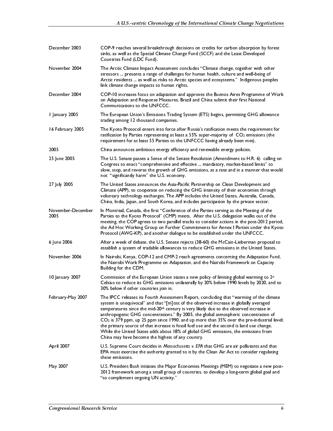|                                                     | A U.S.-centric Chronology of the International Climate Change Negotiations                                                                                                                                                                                                                                                                                                                                                                                                                                                                                                                                                                                                                                                                                                                                               |
|-----------------------------------------------------|--------------------------------------------------------------------------------------------------------------------------------------------------------------------------------------------------------------------------------------------------------------------------------------------------------------------------------------------------------------------------------------------------------------------------------------------------------------------------------------------------------------------------------------------------------------------------------------------------------------------------------------------------------------------------------------------------------------------------------------------------------------------------------------------------------------------------|
| December 2003<br>November 2004                      | COP-9 reaches several breakthrough decisions on credits for carbon absorption by forest<br>sinks, as well as the Special Climate Change Fund (SCCF) and the Least Developed<br>Countries Fund (LDC Fund).<br>The Arctic Climate Impact Assessment concludes "Climate change, together with other<br>stressors  presents a range of challenges for human health, culture and well-being of<br>Arctic residents  as well as risks to Arctic species and ecosystems." Indigenous peoples                                                                                                                                                                                                                                                                                                                                    |
| December 2004<br>I January 2005<br>16 February 2005 | link climate change impacts to human rights.<br>COP-10 increases focus on adaptation and approves the Buenos Aires Programme of Work<br>on Adaptation and Response Measures. Brazil and China submit their first National<br>Communications to the UNFCCC.<br>The European Union's Emissions Trading System (ETS) begins, permitting GHG allowance<br>trading among 12 thousand companies.<br>The Kyoto Protocol enters into force after Russia's ratification meets the requirement for                                                                                                                                                                                                                                                                                                                                 |
| 2005<br>25 June 2005                                | ratification by Parties representing at least a 55% super-majority of CO <sub>2</sub> emissions (the<br>requirement for at least 55 Parties to the UNFCCC having already been met).<br>China announces ambitious energy efficiency and renewable energy policies.<br>The U.S. Senate passes a Sense of the Senate Resolution (Amendment to H.R. 6) calling on<br>Congress to enact "comprehensive and effective  mandatory, market-based limits" to<br>slow, stop, and reverse the growth of GHG emissions, at a rate and in a manner that would<br>not "significantly harm" the U.S. economy.                                                                                                                                                                                                                           |
| 27 July 2005<br>November-December<br>2005           | The United States announces the Asia-Pacific Partnership on Clean Development and<br>Climate (APP), to cooperate on reducing the GHG intensity of their economies through<br>voluntary technology exchanges. The APP includes the United States, Australia, Canada,<br>China, India, Japan, and South Korea, and includes participation by the private sector.<br>In Montreal, Canada, the first "Conference of the Parties serving as the Meeting of the<br>Parties to the Kyoto Protocol" (CMP) meets. After the U.S. delegation walks out of the<br>meeting, the COP agrees to two parallel tracks to consider actions in the post-2012 period,<br>the Ad Hoc Working Group on Further Commitments for Annex I Parties under the Kyoto<br>Protocol (AWG-KP), and another dialogue to be established under the UNFCCC. |
| 6 June 2006<br>November 2006<br>10 January 2007     | After a week of debate, the U.S. Senate rejects (38-60) the McCain-Lieberman proposal to<br>establish a system of tradable allowances to reduce GHG emissions in the United States.<br>In Nairobi, Kenya, COP-12 and CMP-2 reach agreements concerning the Adaptation Fund,<br>the Nairobi Work Programme on Adaptation, and the Nairobi Framework on Capacity<br>Building for the CDM.<br>Commission of the European Union states a new policy of limiting global warming to 2°<br>Celsius to reduce its GHG emissions unilaterally by 20% below 1990 levels by 2020, and to                                                                                                                                                                                                                                            |
| February-May 2007                                   | 30% below if other countries join in.<br>The IPCC releases its Fourth Assessment Report, concluding that "warming of the climate<br>system is unequivocal" and that "[m]ost of the observed increase in globally averaged<br>temperatures since the mid-20th century is very likely due to the observed increase in<br>anthropogenic GHG concentrations." By 2005, the global atmospheric concentration of<br>CO <sub>2</sub> is 379 ppm, up 25 ppm since 1990, and up more than 35% over the pre-industrial level;<br>the primary source of that increase is fossil fuel use and the second is land use change.<br>While the United States adds about 18% of global GHG emissions, the emissions from                                                                                                                   |
| April 2007<br>May 2007                              | China may have become the highest of any country.<br>U.S. Supreme Court decides in Massachusetts v. EPA that GHG are air pollutants and that<br>EPA must exercise the authority granted to it by the Clean Air Act to consider regulating<br>these emissions.<br>U.S. President Bush initiates the Major Economies Meetings (MEM) to negotiate a new post-<br>2012 framework among a small group of countries, to develop a long-term global goal and<br>"to complement ongoing UN activity."                                                                                                                                                                                                                                                                                                                            |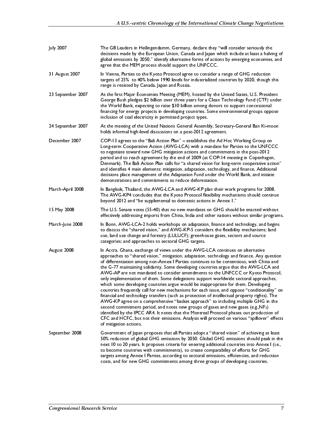| July 2007         | The G8 Leaders in Heilingendamm, Germany, declare they "will consider seriously the<br>decisions made by the European Union, Canada and Japan which include at least a halving of<br>global emissions by 2050," identify alternative forms of actions by emerging economies, and<br>agree that the MEM process should support the UNFCCC.                                                                                                                                                                                                                                                                                                                                                                                                                                                                                                                                                                                                                                                                                                                                                                                                                                                                                                     |
|-------------------|-----------------------------------------------------------------------------------------------------------------------------------------------------------------------------------------------------------------------------------------------------------------------------------------------------------------------------------------------------------------------------------------------------------------------------------------------------------------------------------------------------------------------------------------------------------------------------------------------------------------------------------------------------------------------------------------------------------------------------------------------------------------------------------------------------------------------------------------------------------------------------------------------------------------------------------------------------------------------------------------------------------------------------------------------------------------------------------------------------------------------------------------------------------------------------------------------------------------------------------------------|
| 31 August 2007    | In Vienna, Parties to the Kyoto Protocol agree to consider a range of GHG reduction<br>targets of 25% to 40% below 1990 levels for industrialized countries by 2020, though this<br>range is resisted by Canada, Japan and Russia.                                                                                                                                                                                                                                                                                                                                                                                                                                                                                                                                                                                                                                                                                                                                                                                                                                                                                                                                                                                                            |
| 23 September 2007 | At the first Major Economies Meeting (MEM), hosted by the United States, U.S. President<br>George Bush pledges \$2 billion over three years for a Clean Technology Fund (CTF) under<br>the World Bank, expecting to raise \$10 billion among donors to support concessional<br>financing for energy projects in developing countries. Some environmental groups oppose<br>inclusion of coal electricity in permitted project types.                                                                                                                                                                                                                                                                                                                                                                                                                                                                                                                                                                                                                                                                                                                                                                                                           |
| 24 September 2007 | At the meeting of the United Nations General Assembly, Secretary-General Ban Ki-moon<br>holds informal high-level discussions on a post-2012 agreement.                                                                                                                                                                                                                                                                                                                                                                                                                                                                                                                                                                                                                                                                                                                                                                                                                                                                                                                                                                                                                                                                                       |
| December 2007     | COP-13 agrees to the "Bali Action Plan" - establishes the Ad Hoc Working Group on<br>Long-term Cooperative Action (AWG-LCA) with a mandate for Parties to the UNFCCC<br>to negotiate toward new GHG mitigation actions and commitments in the post-2012<br>period and to reach agreement by the end of 2009 (at COP-14 meeting in Copenhagen,<br>Denmark). The Bali Action Plan calls for "a shared vision for long-term cooperative action"<br>and identifies 4 main elements: mitigation, adaptation, technology, and finance. Additional<br>decisions place management of the Adaptation Fund under the World Bank, and initiate<br>demonstrations and commitments to reduce deforestation.                                                                                                                                                                                                                                                                                                                                                                                                                                                                                                                                                |
| March-April 2008  | In Bangkok, Thailand, the AWG-LCA and AWG-KP plan their work programs for 2008.<br>The AWG-KP4 concludes that the Kyoto Protocol flexibility mechanisms should continue<br>beyond 2012 and "be supplemental to domestic actions in Annex 1."                                                                                                                                                                                                                                                                                                                                                                                                                                                                                                                                                                                                                                                                                                                                                                                                                                                                                                                                                                                                  |
| 15 May 2008       | The U.S. Senate votes (55-40) that no new mandates on GHG should be enacted without<br>effectively addressing imports from China, India and other nations without similar programs.                                                                                                                                                                                                                                                                                                                                                                                                                                                                                                                                                                                                                                                                                                                                                                                                                                                                                                                                                                                                                                                           |
| March-June 2008   | In Bonn, AWG-LCA-2 holds workshops on adaptation, finance and technology, and begins<br>to discuss the "shared vision," and AWG-KP-5 considers the flexibility mechanisms; land<br>use, land use change and forestry (LULUCF); greenhouse gases, sectors and source<br>categories; and approaches to sectoral GHG targets.                                                                                                                                                                                                                                                                                                                                                                                                                                                                                                                                                                                                                                                                                                                                                                                                                                                                                                                    |
| August 2008       | In Accra, Ghana, exchange of views under the AWG-LCA continues on alternative<br>approaches to "shared vision," mitigation, adaptation, technology and finance. Any question<br>of differentiation among non-Annex   Parties continues to be contentious, with China and<br>the G-77 maintaining solidarity. Some developing countries argue that the AWG-LCA and<br>AWG-AP are not mandated to consider amendments to the UNFCCC or Kyoto Protocol,<br>only implementation of them. Some delegations support worldwide sectoral approaches,<br>which some developing countries argue would be inappropriate for them. Developing<br>countries frequently call for new mechanisms for each issue, and oppose "conditionality" on<br>financial and technology transfers (such as protection of intellectual property rights). The<br>AWG-KP agree on a comprehensive "basket approach" to including multiple GHG in the<br>second commitment period, and notes new groups of gases and new gases (e.g., NF <sub>3</sub> )<br>identified by the IPCC AR4. It notes that the Montreal Protocol phases out production of<br>CFC and HCFC, but not their emissions. Analysis will proceed on various "spillover" effects<br>of mitigation actions. |
| September 2008    | Government of Japan proposes that all Parties adopt a "shared vision" of achieving at least<br>50% reduction of global GHG emissions by 2050. Global GHG emissions should peak in the<br>next 10 to 20 years. It proposes criteria for entering additional countries into Annex I (i.e.,<br>to become countries with commitments), to create comparability of efforts for GHG<br>targets among Annex I Parties, according to sectoral emissions, efficiencies, and reduction<br>costs, and for new GHG commitments among three groups of developing countries.                                                                                                                                                                                                                                                                                                                                                                                                                                                                                                                                                                                                                                                                                |